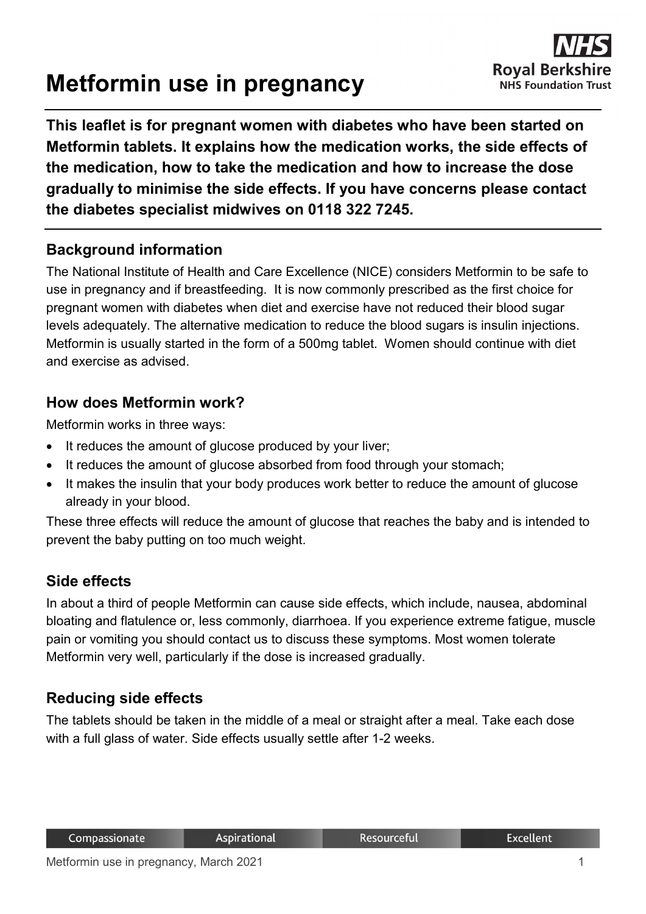# **Metformin use in pregnancy**



**This leaflet is for pregnant women with diabetes who have been started on Metformin tablets. It explains how the medication works, the side effects of the medication, how to take the medication and how to increase the dose gradually to minimise the side effects. If you have concerns please contact the diabetes specialist midwives on 0118 322 7245.**

#### **Background information**

The National Institute of Health and Care Excellence (NICE) considers Metformin to be safe to use in pregnancy and if breastfeeding. It is now commonly prescribed as the first choice for pregnant women with diabetes when diet and exercise have not reduced their blood sugar levels adequately. The alternative medication to reduce the blood sugars is insulin injections. Metformin is usually started in the form of a 500mg tablet. Women should continue with diet and exercise as advised.

## **How does Metformin work?**

Metformin works in three ways:

- It reduces the amount of glucose produced by your liver;
- It reduces the amount of glucose absorbed from food through your stomach;
- It makes the insulin that your body produces work better to reduce the amount of glucose already in your blood.

These three effects will reduce the amount of glucose that reaches the baby and is intended to prevent the baby putting on too much weight.

#### **Side effects**

In about a third of people Metformin can cause side effects, which include, nausea, abdominal bloating and flatulence or, less commonly, diarrhoea. If you experience extreme fatigue, muscle pain or vomiting you should contact us to discuss these symptoms. Most women tolerate Metformin very well, particularly if the dose is increased gradually.

# **Reducing side effects**

The tablets should be taken in the middle of a meal or straight after a meal. Take each dose with a full glass of water. Side effects usually settle after 1-2 weeks.

**Excellent**